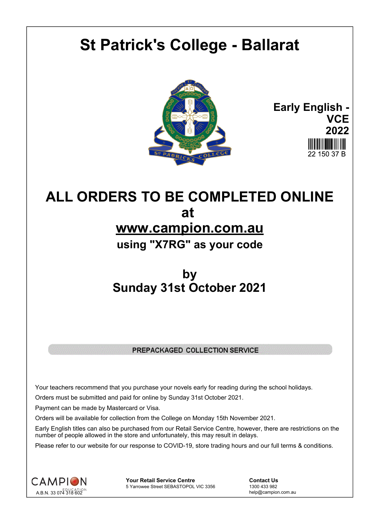# **St Patrick's College - Ballarat**



**Early English - VCE 2022** 22 150 37 B

## **ALL ORDERS TO BE COMPLETED ONLINE at www.campion.com.au using "X7RG" as your code**

### **by Sunday 31st October 2021**

#### PREPACKAGED COLLECTION SERVICE

Your teachers recommend that you purchase your novels early for reading during the school holidays.

Orders must be submitted and paid for online by Sunday 31st October 2021.

Payment can be made by Mastercard or Visa.

Orders will be available for collection from the College on Monday 15th November 2021.

Early English titles can also be purchased from our Retail Service Centre, however, there are restrictions on the number of people allowed in the store and unfortunately, this may result in delays.

Please refer to our website for our response to COVID-19, store trading hours and our full terms & conditions.



**Your Retail Service Centre**  Contact Us<br>
5 Yarrowee Street SEBASTOPOL VIC 3356 1300 433 982 5 Yarrowee Street SEBASTOPOL VIC 3356

help@campion.com.au